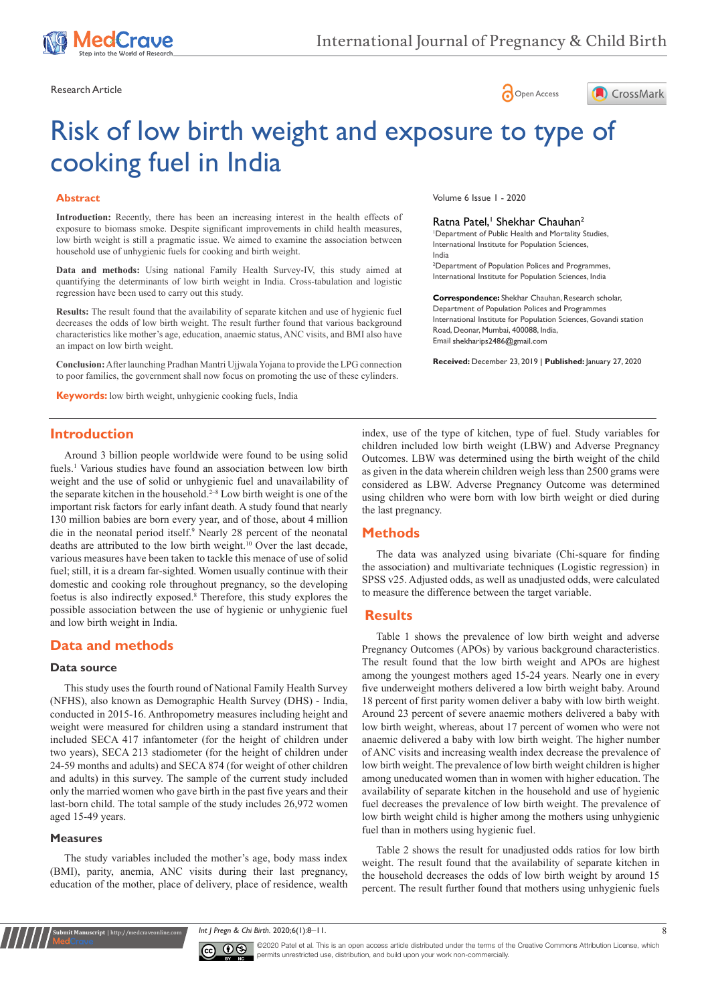





# Risk of low birth weight and exposure to type of cooking fuel in India

### **Abstract**

**Introduction:** Recently, there has been an increasing interest in the health effects of exposure to biomass smoke. Despite significant improvements in child health measures, low birth weight is still a pragmatic issue. We aimed to examine the association between household use of unhygienic fuels for cooking and birth weight.

**Data and methods:** Using national Family Health Survey-IV, this study aimed at quantifying the determinants of low birth weight in India. Cross-tabulation and logistic regression have been used to carry out this study.

**Results:** The result found that the availability of separate kitchen and use of hygienic fuel decreases the odds of low birth weight. The result further found that various background characteristics like mother's age, education, anaemic status, ANC visits, and BMI also have an impact on low birth weight.

**Conclusion:** After launching Pradhan Mantri Ujjwala Yojana to provide the LPG connection to poor families, the government shall now focus on promoting the use of these cylinders.

**Keywords:** low birth weight, unhygienic cooking fuels, India

Volume 6 Issue 1 - 2020

#### Ratna Patel,<sup>1</sup> Shekhar Chauhan<sup>2</sup>

1 Department of Public Health and Mortality Studies, International Institute for Population Sciences, India

2 Department of Population Polices and Programmes, International Institute for Population Sciences, India

**Correspondence:** Shekhar Chauhan, Research scholar, Department of Population Polices and Programmes International Institute for Population Sciences, Govandi station Road, Deonar, Mumbai, 400088, India, Email shekharips2486@gmail.com

**Received:** December 23, 2019 | **Published:** January 27, 2020

## **Introduction**

Around 3 billion people worldwide were found to be using solid fuels.<sup>1</sup> Various studies have found an association between low birth weight and the use of solid or unhygienic fuel and unavailability of the separate kitchen in the household.2–8 Low birth weight is one of the important risk factors for early infant death. A study found that nearly 130 million babies are born every year, and of those, about 4 million die in the neonatal period itself.9 Nearly 28 percent of the neonatal deaths are attributed to the low birth weight.10 Over the last decade, various measures have been taken to tackle this menace of use of solid fuel; still, it is a dream far-sighted. Women usually continue with their domestic and cooking role throughout pregnancy, so the developing foetus is also indirectly exposed.8 Therefore, this study explores the possible association between the use of hygienic or unhygienic fuel and low birth weight in India.

# **Data and methods**

#### **Data source**

This study uses the fourth round of National Family Health Survey (NFHS), also known as Demographic Health Survey (DHS) - India, conducted in 2015-16. Anthropometry measures including height and weight were measured for children using a standard instrument that included SECA 417 infantometer (for the height of children under two years), SECA 213 stadiometer (for the height of children under 24-59 months and adults) and SECA 874 (for weight of other children and adults) in this survey. The sample of the current study included only the married women who gave birth in the past five years and their last-born child. The total sample of the study includes 26,972 women aged 15-49 years.

## **Measures**

**nit Manuscript** | http://medcraveonline.

The study variables included the mother's age, body mass index (BMI), parity, anemia, ANC visits during their last pregnancy, education of the mother, place of delivery, place of residence, wealth index, use of the type of kitchen, type of fuel. Study variables for children included low birth weight (LBW) and Adverse Pregnancy Outcomes. LBW was determined using the birth weight of the child as given in the data wherein children weigh less than 2500 grams were considered as LBW. Adverse Pregnancy Outcome was determined using children who were born with low birth weight or died during the last pregnancy.

# **Methods**

The data was analyzed using bivariate (Chi-square for finding the association) and multivariate techniques (Logistic regression) in SPSS v25. Adjusted odds, as well as unadjusted odds, were calculated to measure the difference between the target variable.

## **Results**

Table 1 shows the prevalence of low birth weight and adverse Pregnancy Outcomes (APOs) by various background characteristics. The result found that the low birth weight and APOs are highest among the youngest mothers aged 15-24 years. Nearly one in every five underweight mothers delivered a low birth weight baby. Around 18 percent of first parity women deliver a baby with low birth weight. Around 23 percent of severe anaemic mothers delivered a baby with low birth weight, whereas, about 17 percent of women who were not anaemic delivered a baby with low birth weight. The higher number of ANC visits and increasing wealth index decrease the prevalence of low birth weight. The prevalence of low birth weight children is higher among uneducated women than in women with higher education. The availability of separate kitchen in the household and use of hygienic fuel decreases the prevalence of low birth weight. The prevalence of low birth weight child is higher among the mothers using unhygienic fuel than in mothers using hygienic fuel.

Table 2 shows the result for unadjusted odds ratios for low birth weight. The result found that the availability of separate kitchen in the household decreases the odds of low birth weight by around 15 percent. The result further found that mothers using unhygienic fuels

*Int J Pregn & Chi Birth.* 2020;6(1):8‒11. 8



©2020 Patel et al. This is an open access article distributed under the terms of the [Creative Commons Attribution License](https://creativecommons.org/licenses/by-nc/4.0/), which permits unrestricted use, distribution, and build upon your work non-commercially.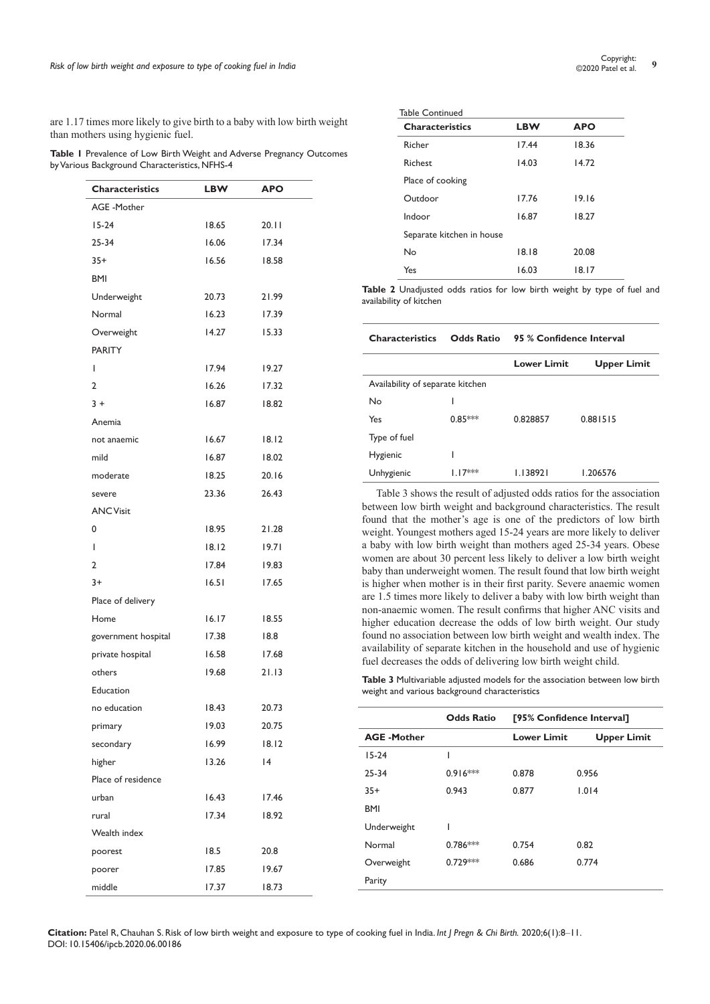**Citation:** Patel R, Chauhan S. Risk of low birth weight and exposure to type of cooking fuel in India. *Int J Pregn & Chi Birth.* 2020;6(1):8‒11. DOI: [10.15406/ipcb.2020.06.00186](https://doi.org/10.15406/ipcb.2020.06.00186)

are 1.17 times more likely to give birth to a baby with low birth weight than mothers using hygienic fuel.

**Table 1** Prevalence of Low Birth Weight and Adverse Pregnancy Outcomes by Various Background Characteristics, NFHS-4

| <b>Characteristics</b> | LBW   | <b>APO</b> |
|------------------------|-------|------------|
| <b>AGE</b> - Mother    |       |            |
| $15-24$                | 18.65 | 20.11      |
| $25 - 34$              | 16.06 | 17.34      |
| $35+$                  | 16.56 | 18.58      |
| <b>BMI</b>             |       |            |
| Underweight            | 20.73 | 21.99      |
| Normal                 | 16.23 | 17.39      |
| Overweight             | 14.27 | 15.33      |
| <b>PARITY</b>          |       |            |
| ı                      | 17.94 | 19.27      |
| 2                      | 16.26 | 17.32      |
| $3+$                   | 16.87 | 18.82      |
| Anemia                 |       |            |
| not anaemic            | 16.67 | 18.12      |
| mild                   | 16.87 | 18.02      |
| moderate               | 18.25 | 20.16      |
| severe                 | 23.36 | 26.43      |
| <b>ANC Visit</b>       |       |            |
| 0                      | 18.95 | 21.28      |
| ı                      | 18.12 | 19.71      |
| 2                      | 17.84 | 19.83      |
| $3+$                   | 16.51 | 17.65      |
| Place of delivery      |       |            |
| Home                   | 16.17 | 18.55      |
| government hospital    | 17.38 | 18.8       |
| private hospital       | 16.58 | 17.68      |
| others                 | 19.68 | 21.13      |
| Education              |       |            |
| no education           | 18.43 | 20.73      |
| primary                | 19.03 | 20.75      |
| secondary              | 16.99 | 18.12      |
| higher                 | 13.26 | 4          |
| Place of residence     |       |            |
| urban                  | 16.43 | 17.46      |
| rural                  | 17.34 | 18.92      |
| Wealth index           |       |            |
| poorest                | 18.5  | 20.8       |
| poorer                 | 17.85 | 19.67      |
| middle                 | 17.37 | 18.73      |
|                        |       |            |

| <b>Table Continued</b>    |            |            |  |
|---------------------------|------------|------------|--|
| <b>Characteristics</b>    | <b>LBW</b> | <b>APO</b> |  |
| Richer                    | 17.44      | 18.36      |  |
| Richest                   | 14.03      | 14.72      |  |
| Place of cooking          |            |            |  |
| Outdoor                   | 17.76      | 19.16      |  |
| Indoor                    | 16.87      | 18.27      |  |
| Separate kitchen in house |            |            |  |
| Nο                        | 18.18      | 20.08      |  |
| Yes                       | 16.03      | 18.17      |  |

**Table 2** Unadjusted odds ratios for low birth weight by type of fuel and availability of kitchen

#### **Characteristics Odds Ratio 95 % Confidence Interval**

|                                  |           | <b>Lower Limit</b> | <b>Upper Limit</b> |
|----------------------------------|-----------|--------------------|--------------------|
| Availability of separate kitchen |           |                    |                    |
| No                               |           |                    |                    |
| Yes                              | $0.85***$ | 0.828857           | 0.881515           |
| Type of fuel                     |           |                    |                    |
| Hygienic                         |           |                    |                    |
| Unhygienic                       | $17***$   | 1.138921           | 1.206576           |

Table 3 shows the result of adjusted odds ratios for the association between low birth weight and background characteristics. The result found that the mother's age is one of the predictors of low birth weight. Youngest mothers aged 15-24 years are more likely to deliver a baby with low birth weight than mothers aged 25-34 years. Obese women are about 30 percent less likely to deliver a low birth weight baby than underweight women. The result found that low birth weight is higher when mother is in their first parity. Severe anaemic women are 1.5 times more likely to deliver a baby with low birth weight than non-anaemic women. The result confirms that higher ANC visits and higher education decrease the odds of low birth weight. Our study found no association between low birth weight and wealth index. The availability of separate kitchen in the household and use of hygienic fuel decreases the odds of delivering low birth weight child.

**Table 3** Multivariable adjusted models for the association between low birth weight and various background characteristics

|                   | <b>Odds Ratio</b> | [95% Confidence Interval] |                    |
|-------------------|-------------------|---------------------------|--------------------|
| <b>AGE-Mother</b> |                   | <b>Lower Limit</b>        | <b>Upper Limit</b> |
| $15-24$           | ı                 |                           |                    |
| $25 - 34$         | $0.916***$        | 0.878                     | 0.956              |
| $35+$             | 0.943             | 0.877                     | 1.014              |
| <b>BMI</b>        |                   |                           |                    |
| Underweight       |                   |                           |                    |
| Normal            | $0.786***$        | 0.754                     | 0.82               |
| Overweight        | $0.729***$        | 0.686                     | 0.774              |
| Parity            |                   |                           |                    |
|                   |                   |                           |                    |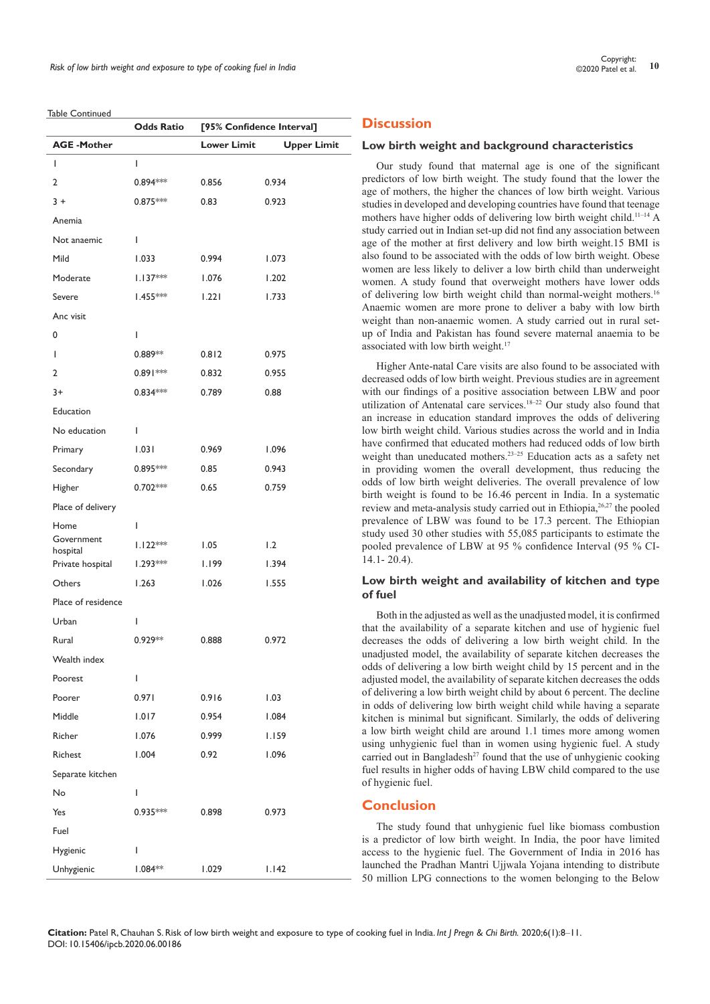Table Continued

|                        | <b>Odds Ratio</b> | [95% Confidence Interval] |                    |
|------------------------|-------------------|---------------------------|--------------------|
| <b>AGE-Mother</b>      |                   | <b>Lower Limit</b>        | <b>Upper Limit</b> |
| ı                      | I                 |                           |                    |
| 2                      | 0.894 ***         | 0.856                     | 0.934              |
| $3+$                   | 0.875 ***         | 0.83                      | 0.923              |
| Anemia                 |                   |                           |                    |
| Not anaemic            | L                 |                           |                    |
| Mild                   | 1.033             | 0.994                     | 1.073              |
| Moderate               | $1.137***$        | 1.076                     | 1.202              |
| Severe                 | $1.455***$        | 1.221                     | 1.733              |
| Anc visit              |                   |                           |                    |
| 0                      | I                 |                           |                    |
| ı                      | $0.889**$         | 0.812                     | 0.975              |
| 2                      | $0.891***$        | 0.832                     | 0.955              |
| 3+                     | $0.834***$        | 0.789                     | 0.88               |
| Education              |                   |                           |                    |
| No education           | L                 |                           |                    |
| Primary                | 1.031             | 0.969                     | 1.096              |
| Secondary              | $0.895***$        | 0.85                      | 0.943              |
| Higher                 | $0.702***$        | 0.65                      | 0.759              |
| Place of delivery      |                   |                           |                    |
| Home                   | L                 |                           |                    |
| Government<br>hospital | $1.122***$        | 1.05                      | 1.2                |
| Private hospital       | $1.293***$        | 1.199                     | 1.394              |
| Others                 | 1.263             | 1.026                     | 1.555              |
| Place of residence     |                   |                           |                    |
| Urban                  | I                 |                           |                    |
| Rural                  | $0.929**$         | 0.888                     | 0.972              |
| Wealth index           |                   |                           |                    |
| Poorest                | L                 |                           |                    |
| Poorer                 | 0.971             | 0.916                     | 1.03               |
| Middle                 | 1.017             | 0.954                     | 1.084              |
| Richer                 | 1.076             | 0.999                     | 1.159              |
| Richest                | 1.004             | 0.92                      | 1.096              |
| Separate kitchen       |                   |                           |                    |
| No                     | L                 |                           |                    |
| Yes                    | $0.935***$        | 0.898                     | 0.973              |
| Fuel                   |                   |                           |                    |
| Hygienic               | I                 |                           |                    |
| Unhygienic             | $1.084**$         | 1.029                     | 1.142              |
|                        |                   |                           |                    |

# **Discussion**

#### **Low birth weight and background characteristics**

Our study found that maternal age is one of the significant predictors of low birth weight. The study found that the lower the age of mothers, the higher the chances of low birth weight. Various studies in developed and developing countries have found that teenage mothers have higher odds of delivering low birth weight child.11–14 A study carried out in Indian set-up did not find any association between age of the mother at first delivery and low birth weight.15 BMI is also found to be associated with the odds of low birth weight. Obese women are less likely to deliver a low birth child than underweight women. A study found that overweight mothers have lower odds of delivering low birth weight child than normal-weight mothers.16 Anaemic women are more prone to deliver a baby with low birth weight than non-anaemic women. A study carried out in rural setup of India and Pakistan has found severe maternal anaemia to be associated with low birth weight.<sup>17</sup>

Higher Ante-natal Care visits are also found to be associated with decreased odds of low birth weight. Previous studies are in agreement with our findings of a positive association between LBW and poor utilization of Antenatal care services.18–22 Our study also found that an increase in education standard improves the odds of delivering low birth weight child. Various studies across the world and in India have confirmed that educated mothers had reduced odds of low birth weight than uneducated mothers.<sup>23–25</sup> Education acts as a safety net in providing women the overall development, thus reducing the odds of low birth weight deliveries. The overall prevalence of low birth weight is found to be 16.46 percent in India. In a systematic review and meta-analysis study carried out in Ethiopia,<sup>26,27</sup> the pooled prevalence of LBW was found to be 17.3 percent. The Ethiopian study used 30 other studies with 55,085 participants to estimate the pooled prevalence of LBW at 95 % confidence Interval (95 % CI-14.1- 20.4).

## **Low birth weight and availability of kitchen and type of fuel**

Both in the adjusted as well as the unadjusted model, it is confirmed that the availability of a separate kitchen and use of hygienic fuel decreases the odds of delivering a low birth weight child. In the unadjusted model, the availability of separate kitchen decreases the odds of delivering a low birth weight child by 15 percent and in the adjusted model, the availability of separate kitchen decreases the odds of delivering a low birth weight child by about 6 percent. The decline in odds of delivering low birth weight child while having a separate kitchen is minimal but significant. Similarly, the odds of delivering a low birth weight child are around 1.1 times more among women using unhygienic fuel than in women using hygienic fuel. A study carried out in Bangladesh<sup>27</sup> found that the use of unhygienic cooking fuel results in higher odds of having LBW child compared to the use of hygienic fuel.

# **Conclusion**

The study found that unhygienic fuel like biomass combustion is a predictor of low birth weight. In India, the poor have limited access to the hygienic fuel. The Government of India in 2016 has launched the Pradhan Mantri Ujjwala Yojana intending to distribute 50 million LPG connections to the women belonging to the Below